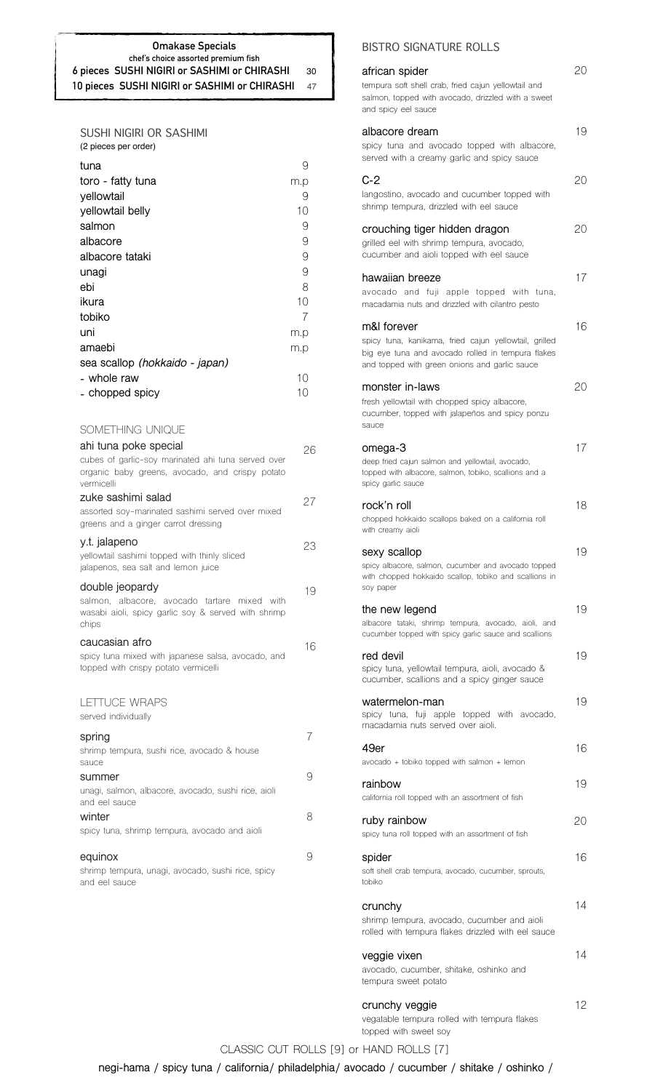### **Omakase Specials chef's choice assorted premium fish 6 pieces SUSHI NIGIRI or SASHIMI or CHIRASHI** 30 **10 pieces SUSHI NIGIRI or SASHIMI or CHIRASHI** 47

| SUSHI NIGIRI OR SASHIMI |  |
|-------------------------|--|
| (2 pieces per order)    |  |

| tuna<br>toro - fatty tuna<br>yellowtail<br>yellowtail belly<br>salmon<br>albacore<br>albacore tataki<br>unagi<br>ebi<br>ikura<br>tobiko<br>uni<br>amaebi<br>sea scallop (hokkaido - japan)<br>- whole raw<br>- chopped spicy | 9<br>m.p<br>9<br>10<br>9<br>9<br>9<br>9<br>8<br>10<br>7<br>m.p<br>m.p<br>10<br>10 |
|------------------------------------------------------------------------------------------------------------------------------------------------------------------------------------------------------------------------------|-----------------------------------------------------------------------------------|
| SOMETHING UNIQUE                                                                                                                                                                                                             |                                                                                   |
| ahi tuna poke special<br>cubes of garlic-soy marinated ahi tuna served over<br>organic baby greens, avocado, and crispy potato<br>vermicelli                                                                                 | 26                                                                                |
| zuke sashimi salad<br>assorted soy-marinated sashimi served over mixed<br>greens and a ginger carrot dressing                                                                                                                | 27                                                                                |
| y.t. jalapeno<br>yellowtail sashimi topped with thinly sliced<br>jalapenos, sea salt and lemon juice                                                                                                                         | 23                                                                                |
| double jeopardy<br>salmon, albacore, avocado tartare mixed<br>with<br>wasabi aioli, spicy garlic soy & served with shrimp<br>chips                                                                                           | 19                                                                                |
| caucasian afro<br>spicy tuna mixed with japanese salsa, avocado, and<br>topped with crispy potato vermicelli                                                                                                                 | 16                                                                                |
| LETTUCE WRAPS<br>served individually                                                                                                                                                                                         |                                                                                   |
| spring<br>shrimp tempura, sushi rice, avocado & house<br>sauce                                                                                                                                                               | 7                                                                                 |
| summer<br>unagi, salmon, albacore, avocado, sushi rice, aioli                                                                                                                                                                | 9                                                                                 |
| and eel sauce<br>winter<br>spicy tuna, shrimp tempura, avocado and aioli                                                                                                                                                     | 8                                                                                 |
| equinox<br>shrimp tempura, unagi, avocado, sushi rice, spicy<br>and eel sauce                                                                                                                                                | 9                                                                                 |

### BISTRO SIGNATURE ROLLS

| african spider<br>tempura soft shell crab, fried cajun yellowtail and<br>salmon, topped with avocado, drizzled with a sweet<br>and spicy eel sauce                         | 20  |
|----------------------------------------------------------------------------------------------------------------------------------------------------------------------------|-----|
| albacore dream<br>spicy tuna and avocado topped with albacore,<br>served with a creamy garlic and spicy sauce                                                              | 19  |
| C-2<br>langostino, avocado and cucumber topped with<br>shrimp tempura, drizzled with eel sauce                                                                             | 20  |
| crouching tiger hidden dragon<br>grilled eel with shrimp tempura, avocado,<br>cucumber and aioli topped with eel sauce                                                     | 20  |
| hawaiian breeze<br>avocado and fuji apple topped with tuna,<br>macadamia nuts and drizzled with cilantro pesto                                                             | 17  |
| m&l forever<br>spicy tuna, kanikama, fried cajun yellowtail, grilled<br>big eye tuna and avocado rolled in tempura flakes<br>and topped with green onions and garlic sauce | 16  |
| monster in-laws<br>fresh yellowtail with chopped spicy albacore,<br>cucumber, topped with jalapeños and spicy ponzu<br>sauce                                               | 20  |
| omega-3<br>deep fried cajun salmon and yellowtail, avocado,<br>topped with albacore, salmon, tobiko, scallions and a<br>spicy garlic sauce                                 | 17  |
| rock'n roll<br>chopped hokkaido scallops baked on a california roll<br>with creamy aioli                                                                                   | 18  |
| sexy scallop<br>spicy albacore, salmon, cucumber and avocado topped<br>with chopped hokkaido scallop, tobiko and scallions in<br>soy paper                                 | 19. |
| the new legend<br>albacore tataki, shrimp tempura, avocado, aioli, and<br>cucumber topped with spicy garlic sauce and scallions                                            | 19  |
| red devil<br>spicy tuna, yellowtail tempura, aioli, avocado &<br>cucumber, scallions and a spicy ginger sauce                                                              | 19  |
| watermelon-man<br>spicy tuna, fuji apple topped with avocado,<br>macadamia nuts served over aioli.                                                                         | 19  |
| 49er<br>avocado + tobiko topped with salmon + lemon                                                                                                                        | 16  |
| rainbow<br>california roll topped with an assortment of fish                                                                                                               | 19  |
| ruby rainbow<br>spicy tuna roll topped with an assortment of fish                                                                                                          | 20  |
| spider<br>soft shell crab tempura, avocado, cucumber, sprouts,<br>tobiko                                                                                                   | 16  |
| crunchy<br>shrimp tempura, avocado, cucumber and aioli<br>rolled with tempura flakes drizzled with eel sauce                                                               | 14  |
| veggie vixen<br>avocado, cucumber, shitake, oshinko and<br>tempura sweet potato                                                                                            | 14  |
| crunchy veggie                                                                                                                                                             | 12  |

vegatable tempura rolled with tempura flakes topped with sweet soy

# CLASSIC CUT ROLLS [9] or HAND ROLLS [7]

**negi-hama / spicy tuna / california/ philadelphia/ avocado / cucumber / shitake / oshinko /**